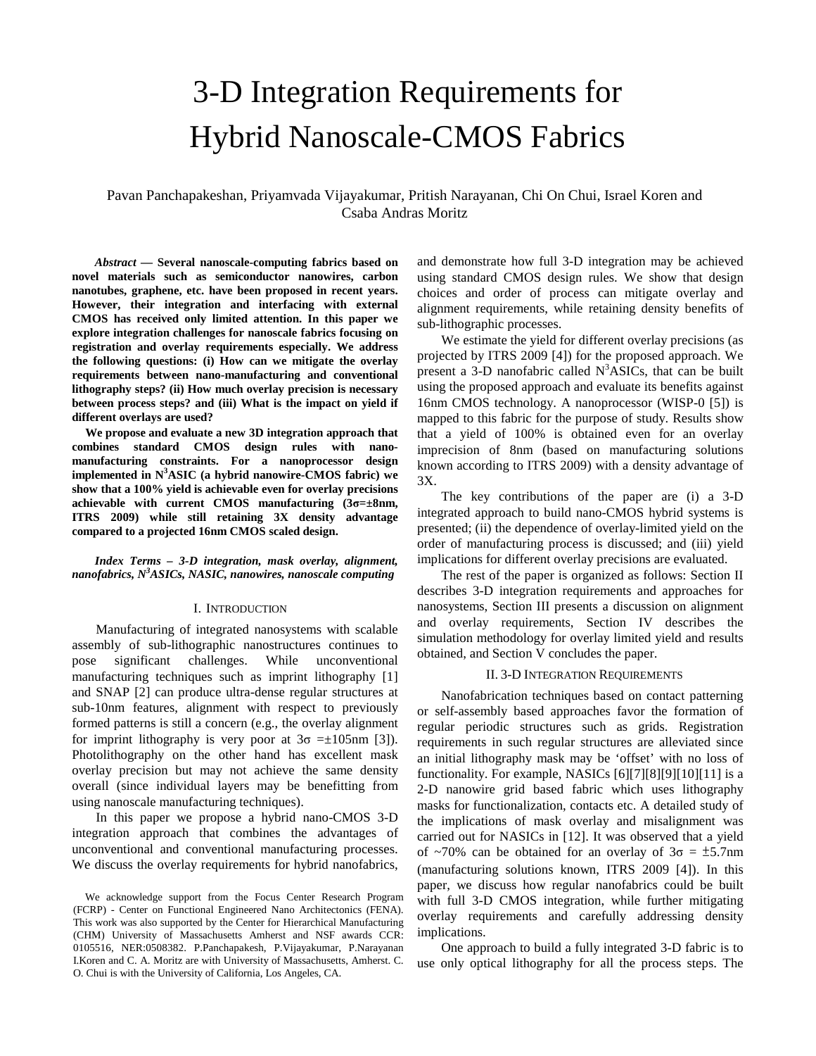# 3-D Integration Requirements for Hybrid Nanoscale-CMOS Fabrics

Pavan Panchapakeshan, Priyamvada Vijayakumar, Pritish Narayanan, Chi On Chui, Israel Koren and Csaba Andras Moritz

*Abstract* **— Several nanoscale-computing fabrics based on novel materials such as semiconductor nanowires, carbon nanotubes, graphene, etc. have been proposed in recent years. However, their integration and interfacing with external CMOS has received only limited attention. In this paper we explore integration challenges for nanoscale fabrics focusing on registration and overlay requirements especially. We address the following questions: (i) How can we mitigate the overlay requirements between nano-manufacturing and conventional lithography steps? (ii) How much overlay precision is necessary between process steps? and (iii) What is the impact on yield if different overlays are used?** 

**We propose and evaluate a new 3D integration approach that combines standard CMOS design rules with nanomanufacturing constraints. For a nanoprocessor design implemented in N<sup>3</sup>ASIC (a hybrid nanowire-CMOS fabric) we show that a 100% yield is achievable even for overlay precisions achievable with current CMOS manufacturing (3σ=±8nm, ITRS 2009) while still retaining 3X density advantage compared to a projected 16nm CMOS scaled design.** 

*Index Terms – 3-D integration, mask overlay, alignment, nanofabrics, N<sup>3</sup>ASICs, NASIC, nanowires, nanoscale computing* 

# I. INTRODUCTION

 Manufacturing of integrated nanosystems with scalable assembly of sub-lithographic nanostructures continues to pose significant challenges. While unconventional manufacturing techniques such as imprint lithography [1] and SNAP [2] can produce ultra-dense regular structures at sub-10nm features, alignment with respect to previously formed patterns is still a concern (e.g., the overlay alignment for imprint lithography is very poor at  $3\sigma = \pm 105$ nm [3]). Photolithography on the other hand has excellent mask overlay precision but may not achieve the same density overall (since individual layers may be benefitting from using nanoscale manufacturing techniques).

 In this paper we propose a hybrid nano-CMOS 3-D integration approach that combines the advantages of unconventional and conventional manufacturing processes. We discuss the overlay requirements for hybrid nanofabrics, and demonstrate how full 3-D integration may be achieved using standard CMOS design rules. We show that design choices and order of process can mitigate overlay and alignment requirements, while retaining density benefits of sub-lithographic processes.

 We estimate the yield for different overlay precisions (as projected by ITRS 2009 [4]) for the proposed approach. We present a 3-D nanofabric called  $N<sup>3</sup>ASICs$ , that can be built using the proposed approach and evaluate its benefits against 16nm CMOS technology. A nanoprocessor (WISP-0 [5]) is mapped to this fabric for the purpose of study. Results show that a yield of 100% is obtained even for an overlay imprecision of 8nm (based on manufacturing solutions known according to ITRS 2009) with a density advantage of 3X.

 The key contributions of the paper are (i) a 3-D integrated approach to build nano-CMOS hybrid systems is presented; (ii) the dependence of overlay-limited yield on the order of manufacturing process is discussed; and (iii) yield implications for different overlay precisions are evaluated.

 The rest of the paper is organized as follows: Section II describes 3-D integration requirements and approaches for nanosystems, Section III presents a discussion on alignment and overlay requirements, Section IV describes the simulation methodology for overlay limited yield and results obtained, and Section V concludes the paper.

## II. 3-D INTEGRATION REQUIREMENTS

 Nanofabrication techniques based on contact patterning or self-assembly based approaches favor the formation of regular periodic structures such as grids. Registration requirements in such regular structures are alleviated since an initial lithography mask may be 'offset' with no loss of functionality. For example, NASICs [6][7][8][9][10][11] is a 2-D nanowire grid based fabric which uses lithography masks for functionalization, contacts etc. A detailed study of the implications of mask overlay and misalignment was carried out for NASICs in [12]. It was observed that a yield of ~70% can be obtained for an overlay of  $3\sigma = \pm 5.7$ nm (manufacturing solutions known, ITRS 2009 [4]). In this paper, we discuss how regular nanofabrics could be built with full 3-D CMOS integration, while further mitigating overlay requirements and carefully addressing density implications.

 One approach to build a fully integrated 3-D fabric is to use only optical lithography for all the process steps. The

We acknowledge support from the Focus Center Research Program (FCRP) - Center on Functional Engineered Nano Architectonics (FENA). This work was also supported by the Center for Hierarchical Manufacturing (CHM) University of Massachusetts Amherst and NSF awards CCR: 0105516, NER:0508382. P.Panchapakesh, P.Vijayakumar, P.Narayanan I.Koren and C. A. Moritz are with University of Massachusetts, Amherst. C. O. Chui is with the University of California, Los Angeles, CA.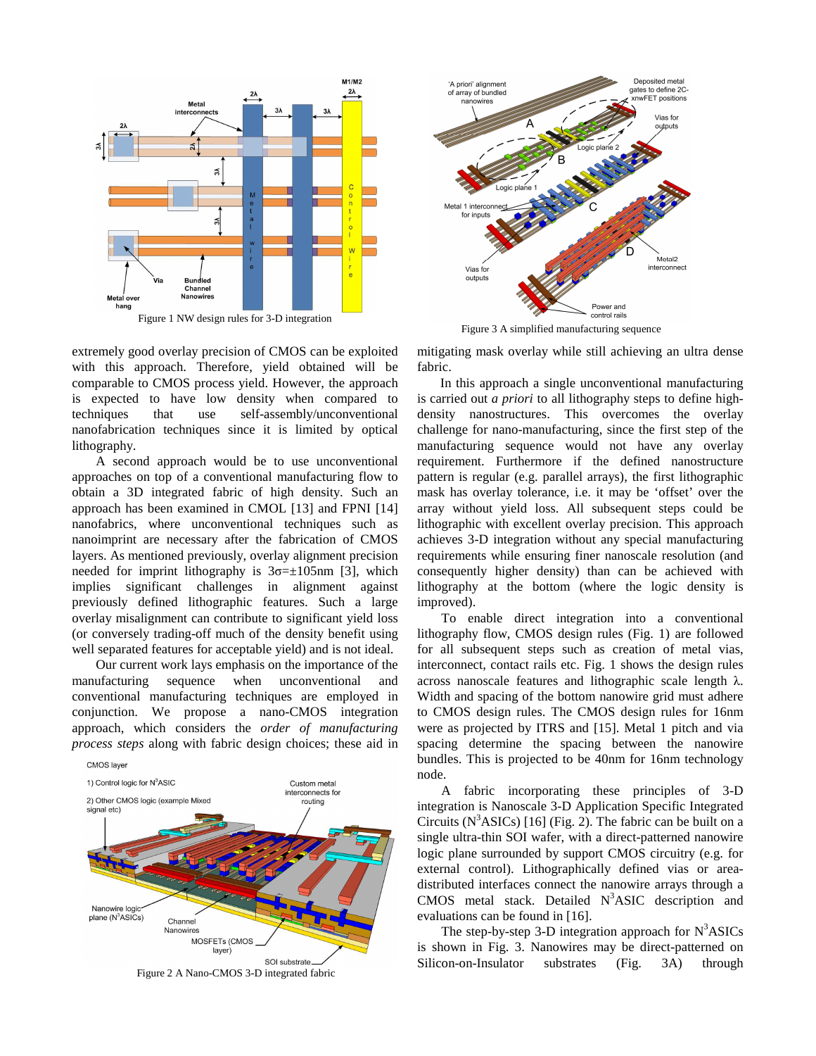

Figure 1 NW design rules for 3-D integration

extremely good overlay precision of CMOS can be exploited with this approach. Therefore, yield obtained will be comparable to CMOS process yield. However, the approach is expected to have low density when compared to techniques that use self-assembly/unconventional nanofabrication techniques since it is limited by optical lithography.

 A second approach would be to use unconventional approaches on top of a conventional manufacturing flow to obtain a 3D integrated fabric of high density. Such an approach has been examined in CMOL [13] and FPNI [14] nanofabrics, where unconventional techniques such as nanoimprint are necessary after the fabrication of CMOS layers. As mentioned previously, overlay alignment precision needed for imprint lithography is  $3\sigma=\pm 105$ nm [3], which implies significant challenges in alignment against previously defined lithographic features. Such a large overlay misalignment can contribute to significant yield loss (or conversely trading-off much of the density benefit using well separated features for acceptable yield) and is not ideal.

 Our current work lays emphasis on the importance of the manufacturing sequence when unconventional and conventional manufacturing techniques are employed in conjunction. We propose a nano-CMOS integration approach, which considers the *order of manufacturing process steps* along with fabric design choices; these aid in



Figure 2 A Nano-CMOS 3-D integrated fabric



Figure 3 A simplified manufacturing sequence

mitigating mask overlay while still achieving an ultra dense fabric.

In this approach a single unconventional manufacturing is carried out *a priori* to all lithography steps to define highdensity nanostructures. This overcomes the overlay challenge for nano-manufacturing, since the first step of the manufacturing sequence would not have any overlay requirement. Furthermore if the defined nanostructure pattern is regular (e.g. parallel arrays), the first lithographic mask has overlay tolerance, i.e. it may be 'offset' over the array without yield loss. All subsequent steps could be lithographic with excellent overlay precision. This approach achieves 3-D integration without any special manufacturing requirements while ensuring finer nanoscale resolution (and consequently higher density) than can be achieved with lithography at the bottom (where the logic density is improved).

 To enable direct integration into a conventional lithography flow, CMOS design rules (Fig. 1) are followed for all subsequent steps such as creation of metal vias, interconnect, contact rails etc. Fig. 1 shows the design rules across nanoscale features and lithographic scale length λ. Width and spacing of the bottom nanowire grid must adhere to CMOS design rules. The CMOS design rules for 16nm were as projected by ITRS and [15]. Metal 1 pitch and via spacing determine the spacing between the nanowire bundles. This is projected to be 40nm for 16nm technology node.

 A fabric incorporating these principles of 3-D integration is Nanoscale 3-D Application Specific Integrated Circuits ( $N<sup>3</sup>ASICs$ ) [16] (Fig. 2). The fabric can be built on a single ultra-thin SOI wafer, with a direct-patterned nanowire logic plane surrounded by support CMOS circuitry (e.g. for external control). Lithographically defined vias or areadistributed interfaces connect the nanowire arrays through a  $CMOS$  metal stack. Detailed  $N<sup>3</sup>ASIC$  description and evaluations can be found in [16].

The step-by-step 3-D integration approach for  $N<sup>3</sup>ASICs$ is shown in Fig. 3. Nanowires may be direct-patterned on Silicon-on-Insulator substrates (Fig. 3A) through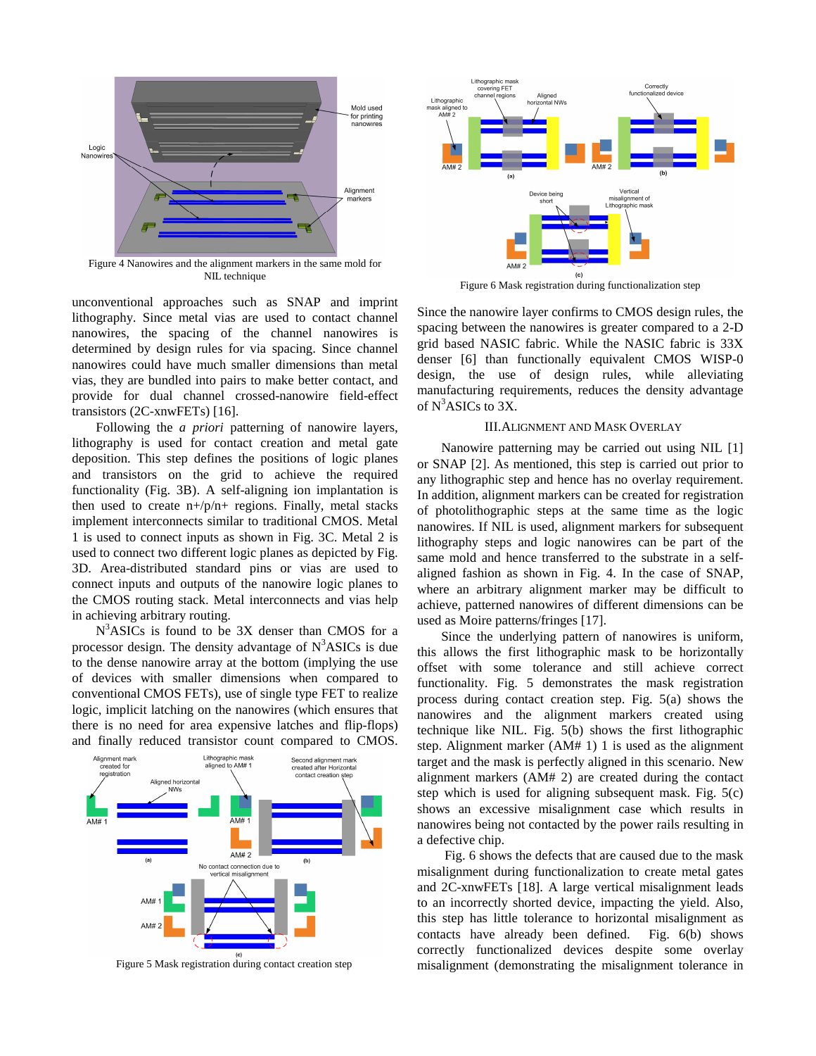

Figure 4 Nanowires and the alignment markers in the same mold for NIL technique

unconventional approaches such as SNAP and imprint lithography. Since metal vias are used to contact channel nanowires, the spacing of the channel nanowires is determined by design rules for via spacing. Since channel nanowires could have much smaller dimensions than metal vias, they are bundled into pairs to make better contact, and provide for dual channel crossed-nanowire field-effect transistors (2C-xnwFETs) [16].

 Following the *a priori* patterning of nanowire layers, lithography is used for contact creation and metal gate deposition. This step defines the positions of logic planes and transistors on the grid to achieve the required functionality (Fig. 3B). A self-aligning ion implantation is then used to create  $n+/p/n+$  regions. Finally, metal stacks implement interconnects similar to traditional CMOS. Metal 1 is used to connect inputs as shown in Fig. 3C. Metal 2 is used to connect two different logic planes as depicted by Fig. 3D. Area-distributed standard pins or vias are used to connect inputs and outputs of the nanowire logic planes to the CMOS routing stack. Metal interconnects and vias help in achieving arbitrary routing.

 $N<sup>3</sup>ASICs$  is found to be 3X denser than CMOS for a processor design. The density advantage of  $N<sup>3</sup>ASICs$  is due to the dense nanowire array at the bottom (implying the use of devices with smaller dimensions when compared to conventional CMOS FETs), use of single type FET to realize logic, implicit latching on the nanowires (which ensures that there is no need for area expensive latches and flip-flops) and finally reduced transistor count compared to CMOS.





Figure 6 Mask registration during functionalization step

Since the nanowire layer confirms to CMOS design rules, the spacing between the nanowires is greater compared to a 2-D grid based NASIC fabric. While the NASIC fabric is 33X denser [6] than functionally equivalent CMOS WISP-0 design, the use of design rules, while alleviating manufacturing requirements, reduces the density advantage of  $N^3$ ASICs to 3X.

# III.ALIGNMENT AND MASK OVERLAY

 Nanowire patterning may be carried out using NIL [1] or SNAP [2]. As mentioned, this step is carried out prior to any lithographic step and hence has no overlay requirement. In addition, alignment markers can be created for registration of photolithographic steps at the same time as the logic nanowires. If NIL is used, alignment markers for subsequent lithography steps and logic nanowires can be part of the same mold and hence transferred to the substrate in a selfaligned fashion as shown in Fig. 4. In the case of SNAP, where an arbitrary alignment marker may be difficult to achieve, patterned nanowires of different dimensions can be used as Moire patterns/fringes [17].

 Since the underlying pattern of nanowires is uniform, this allows the first lithographic mask to be horizontally offset with some tolerance and still achieve correct functionality. Fig. 5 demonstrates the mask registration process during contact creation step. Fig. 5(a) shows the nanowires and the alignment markers created using technique like NIL. Fig. 5(b) shows the first lithographic step. Alignment marker (AM# 1) 1 is used as the alignment target and the mask is perfectly aligned in this scenario. New alignment markers (AM# 2) are created during the contact step which is used for aligning subsequent mask. Fig. 5(c) shows an excessive misalignment case which results in nanowires being not contacted by the power rails resulting in a defective chip.

 Fig. 6 shows the defects that are caused due to the mask misalignment during functionalization to create metal gates and 2C-xnwFETs [18]. A large vertical misalignment leads to an incorrectly shorted device, impacting the yield. Also, this step has little tolerance to horizontal misalignment as contacts have already been defined. Fig. 6(b) shows correctly functionalized devices despite some overlay Figure 5 Mask registration during contact creation step misalignment (demonstrating the misalignment tolerance in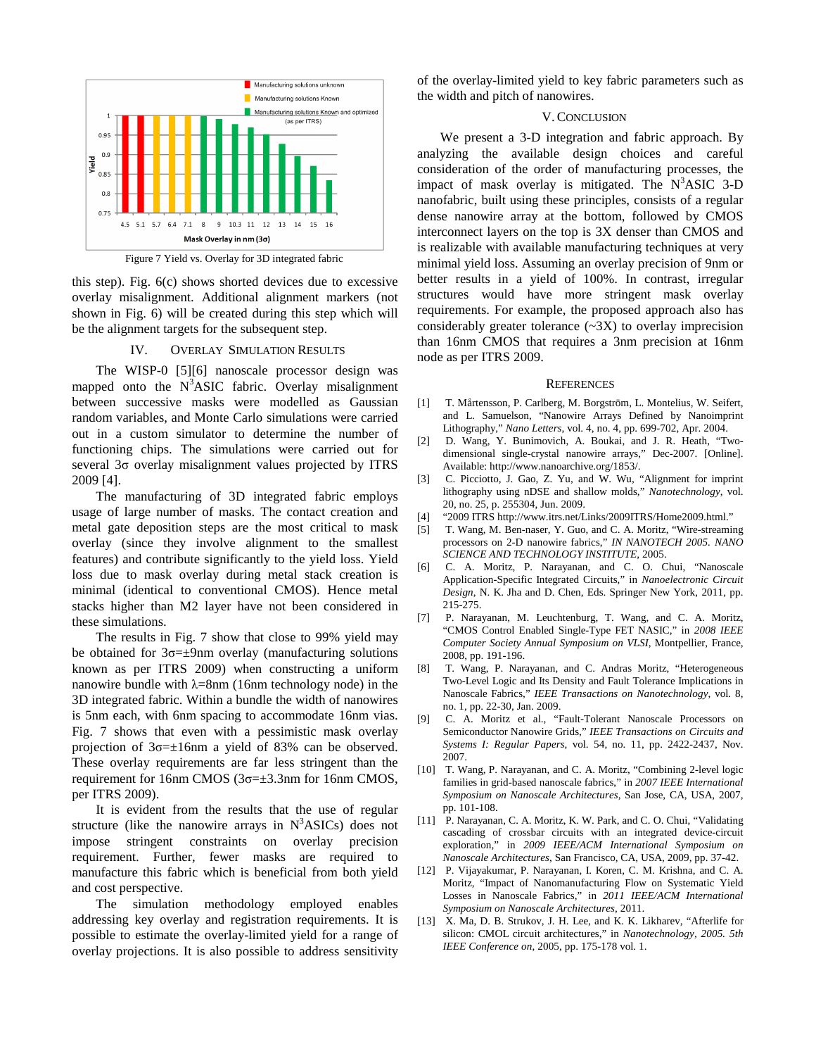

Figure 7 Yield vs. Overlay for 3D integrated fabric

this step). Fig. 6(c) shows shorted devices due to excessive overlay misalignment. Additional alignment markers (not shown in Fig. 6) will be created during this step which will be the alignment targets for the subsequent step.

### IV. OVERLAY SIMULATION RESULTS

 The WISP-0 [5][6] nanoscale processor design was mapped onto the  $N<sup>3</sup>ASIC$  fabric. Overlay misalignment between successive masks were modelled as Gaussian random variables, and Monte Carlo simulations were carried out in a custom simulator to determine the number of functioning chips. The simulations were carried out for several 3σ overlay misalignment values projected by ITRS 2009 [4].

 The manufacturing of 3D integrated fabric employs usage of large number of masks. The contact creation and metal gate deposition steps are the most critical to mask overlay (since they involve alignment to the smallest features) and contribute significantly to the yield loss. Yield loss due to mask overlay during metal stack creation is minimal (identical to conventional CMOS). Hence metal stacks higher than M2 layer have not been considered in these simulations.

 The results in Fig. 7 show that close to 99% yield may be obtained for  $3\sigma = \pm 9$ nm overlay (manufacturing solutions known as per ITRS 2009) when constructing a uniform nanowire bundle with  $\lambda$ =8nm (16nm technology node) in the 3D integrated fabric. Within a bundle the width of nanowires is 5nm each, with 6nm spacing to accommodate 16nm vias. Fig. 7 shows that even with a pessimistic mask overlay projection of  $3\sigma=\pm16$ nm a yield of 83% can be observed. These overlay requirements are far less stringent than the requirement for 16nm CMOS (3σ=±3.3nm for 16nm CMOS, per ITRS 2009).

 It is evident from the results that the use of regular structure (like the nanowire arrays in  $N<sup>3</sup>ASICs$ ) does not impose stringent constraints on overlay precision requirement. Further, fewer masks are required to manufacture this fabric which is beneficial from both yield and cost perspective.

 The simulation methodology employed enables addressing key overlay and registration requirements. It is possible to estimate the overlay-limited yield for a range of overlay projections. It is also possible to address sensitivity

of the overlay-limited yield to key fabric parameters such as the width and pitch of nanowires.

# V.CONCLUSION

 We present a 3-D integration and fabric approach. By analyzing the available design choices and careful consideration of the order of manufacturing processes, the impact of mask overlay is mitigated. The  $N<sup>3</sup>ASIC$  3-D nanofabric, built using these principles, consists of a regular dense nanowire array at the bottom, followed by CMOS interconnect layers on the top is 3X denser than CMOS and is realizable with available manufacturing techniques at very minimal yield loss. Assuming an overlay precision of 9nm or better results in a yield of 100%. In contrast, irregular structures would have more stringent mask overlay requirements. For example, the proposed approach also has considerably greater tolerance  $(\sim 3X)$  to overlay imprecision than 16nm CMOS that requires a 3nm precision at 16nm node as per ITRS 2009.

#### **REFERENCES**

- [1] T. Mårtensson, P. Carlberg, M. Borgström, L. Montelius, W. Seifert, and L. Samuelson, "Nanowire Arrays Defined by Nanoimprint Lithography," *Nano Letters*, vol. 4, no. 4, pp. 699-702, Apr. 2004.
- [2] D. Wang, Y. Bunimovich, A. Boukai, and J. R. Heath, "Twodimensional single-crystal nanowire arrays," Dec-2007. [Online]. Available: http://www.nanoarchive.org/1853/.
- [3] C. Picciotto, J. Gao, Z. Yu, and W. Wu, "Alignment for imprint lithography using nDSE and shallow molds," *Nanotechnology*, vol. 20, no. 25, p. 255304, Jun. 2009.
- [4] "2009 ITRS http://www.itrs.net/Links/2009ITRS/Home2009.html."
- [5] T. Wang, M. Ben-naser, Y. Guo, and C. A. Moritz, "Wire-streaming processors on 2-D nanowire fabrics," *IN NANOTECH 2005. NANO SCIENCE AND TECHNOLOGY INSTITUTE*, 2005.
- [6] C. A. Moritz, P. Narayanan, and C. O. Chui, "Nanoscale Application-Specific Integrated Circuits," in *Nanoelectronic Circuit Design*, N. K. Jha and D. Chen, Eds. Springer New York, 2011, pp. 215-275.
- [7] P. Narayanan, M. Leuchtenburg, T. Wang, and C. A. Moritz, "CMOS Control Enabled Single-Type FET NASIC," in *2008 IEEE Computer Society Annual Symposium on VLSI*, Montpellier, France, 2008, pp. 191-196.
- [8] T. Wang, P. Narayanan, and C. Andras Moritz, "Heterogeneous Two-Level Logic and Its Density and Fault Tolerance Implications in Nanoscale Fabrics," *IEEE Transactions on Nanotechnology*, vol. 8, no. 1, pp. 22-30, Jan. 2009.
- [9] C. A. Moritz et al., "Fault-Tolerant Nanoscale Processors on Semiconductor Nanowire Grids," *IEEE Transactions on Circuits and Systems I: Regular Papers*, vol. 54, no. 11, pp. 2422-2437, Nov. 2007.
- [10] T. Wang, P. Narayanan, and C. A. Moritz, "Combining 2-level logic families in grid-based nanoscale fabrics," in *2007 IEEE International Symposium on Nanoscale Architectures*, San Jose, CA, USA, 2007, pp. 101-108.
- [11] P. Narayanan, C. A. Moritz, K. W. Park, and C. O. Chui, "Validating cascading of crossbar circuits with an integrated device-circuit exploration," in *2009 IEEE/ACM International Symposium on Nanoscale Architectures*, San Francisco, CA, USA, 2009, pp. 37-42.
- [12] P. Vijayakumar, P. Narayanan, I. Koren, C. M. Krishna, and C. A. Moritz, "Impact of Nanomanufacturing Flow on Systematic Yield Losses in Nanoscale Fabrics," in *2011 IEEE/ACM International Symposium on Nanoscale Architectures*, 2011.
- [13] X. Ma, D. B. Strukov, J. H. Lee, and K. K. Likharev, "Afterlife for silicon: CMOL circuit architectures," in *Nanotechnology, 2005. 5th IEEE Conference on*, 2005, pp. 175-178 vol. 1.